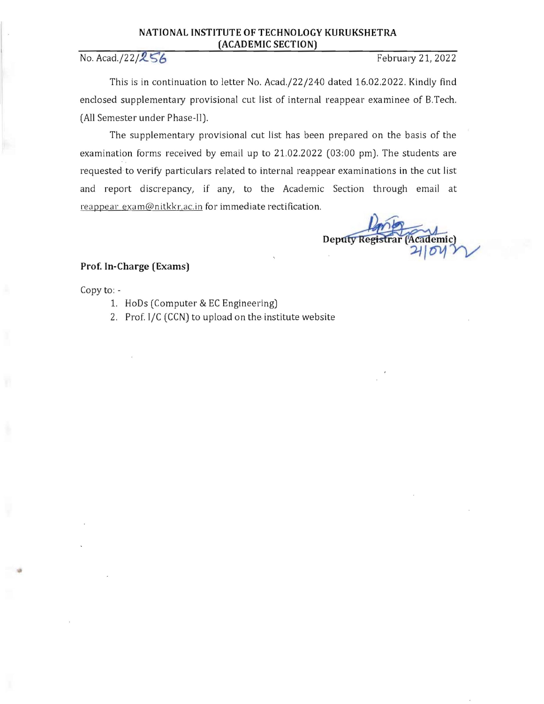## **NATIONAL INSTITUTE OF TECHNOLOGY KURUKSHETRA (ACADEMIC SECTION)**

No. *Acad./22/256* February 21, 2022

This is in continuation to letter No. *Acad.J22J240* dated 16.02.2022. Kindly find enclosed supplementary provisional cut list of internal reappear examinee of B.Tech. (All Semester under Phase-II).

The supplementary provisional cut list has been prepared on the basis of the examination forms received by email up to 21.02.2022 (03:00 pm). The students are requested to verity particulars related to internal reappear examinations in the cut list and report discrepancy, if any, to the Academic Section through email at reappear exam@nitkkr.ac.in for immediate rectification.

**Deputy Reg** Academic)

## **Prof. In-Charge (Exams)**

Copy to:

- 1. HoDs (Computer & EC Engineering)
- 2. Prof. I/C (CCN) to upload on the institute website